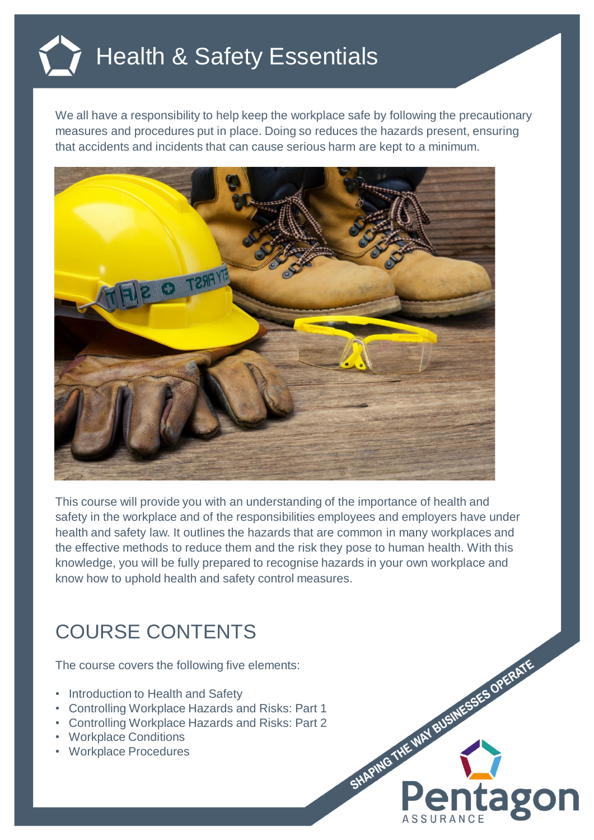## Health & Safety Essentials

We all have a responsibility to help keep the workplace safe by following the precautionary measures and procedures put in place. Doing so reduces the hazards present, ensuring that accidents and incidents that can cause serious harm are kept to a minimum.



This course will provide you with an understanding of the importance of health and safety in the workplace and of the responsibilities employees and employers have under health and safety law. It outlines the hazards that are common in many workplaces and the effective methods to reduce them and the risk they pose to human health. With this knowledge, you will be fully prepared to recognise hazards in your own workplace and know how to uphold health and safety control measures.

## COURSE CONTENTS

The course covers the following five elements:

- Introduction to Health and Safety
- Controlling Workplace Hazards and Risks: Part 1
- Controlling Workplace Hazards and Risks: Part 2
- Workplace Conditions
- Workplace Procedures